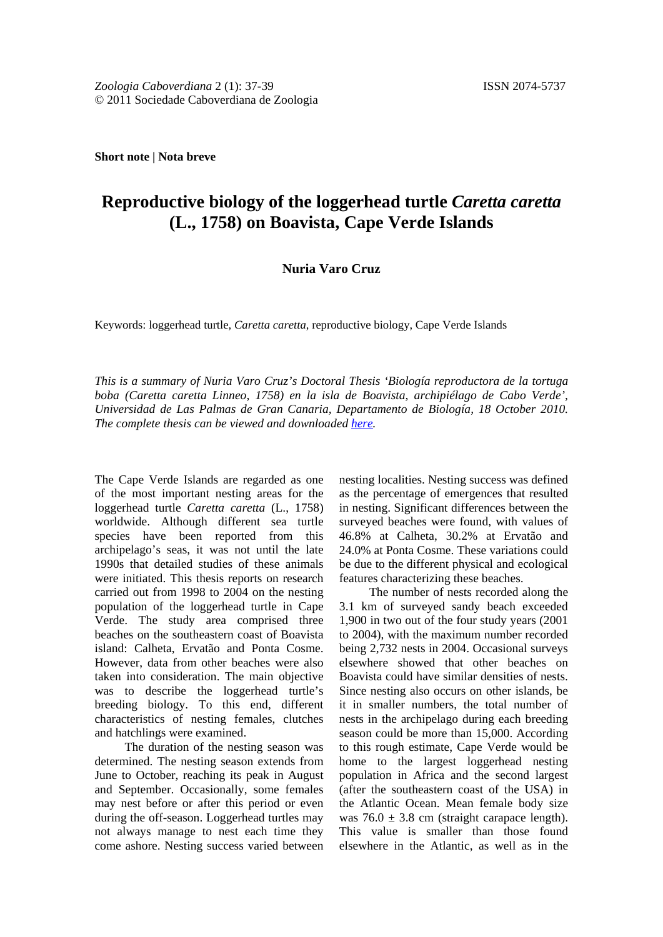**Short note | Nota breve**

## **Reproductive biology of the loggerhead turtle** *Caretta caretta* **(L., 1758) on Boavista, Cape Verde Islands**

## **Nuria Varo Cruz**

Keywords: loggerhead turtle, *Caretta caretta*, reproductive biology, Cape Verde Islands

*This is a summary of Nuria Varo Cruz's Doctoral Thesis 'Biología reproductora de la tortuga boba (Caretta caretta Linneo, 1758) en la isla de Boavista, archipiélago de Cabo Verde', Universidad de Las Palmas de Gran Canaria, Departamento de Biología, 18 October 2010. The complete thesis can be viewed and downloaded [here.](http://acceda.ulpgc.es/handle/10553/4707)*

The Cape Verde Islands are regarded as one of the most important nesting areas for the loggerhead turtle *Caretta caretta* (L., 1758) worldwide. Although different sea turtle species have been reported from this archipelago's seas, it was not until the late 1990s that detailed studies of these animals were initiated. This thesis reports on research carried out from 1998 to 2004 on the nesting population of the loggerhead turtle in Cape Verde. The study area comprised three beaches on the southeastern coast of Boavista island: Calheta, Ervatão and Ponta Cosme. However, data from other beaches were also taken into consideration. The main objective was to describe the loggerhead turtle's breeding biology. To this end, different characteristics of nesting females, clutches and hatchlings were examined.

The duration of the nesting season was determined. The nesting season extends from June to October, reaching its peak in August and September. Occasionally, some females may nest before or after this period or even during the off-season. Loggerhead turtles may not always manage to nest each time they come ashore. Nesting success varied between

nesting localities. Nesting success was defined as the percentage of emergences that resulted in nesting. Significant differences between the surveyed beaches were found, with values of 46.8% at Calheta, 30.2% at Ervatão and 24.0% at Ponta Cosme. These variations could be due to the different physical and ecological features characterizing these beaches.

The number of nests recorded along the 3.1 km of surveyed sandy beach exceeded 1,900 in two out of the four study years (2001 to 2004), with the maximum number recorded being 2,732 nests in 2004. Occasional surveys elsewhere showed that other beaches on Boavista could have similar densities of nests. Since nesting also occurs on other islands, be it in smaller numbers, the total number of nests in the archipelago during each breeding season could be more than 15,000. According to this rough estimate, Cape Verde would be home to the largest loggerhead nesting population in Africa and the second largest (after the southeastern coast of the USA) in the Atlantic Ocean. Mean female body size was  $76.0 \pm 3.8$  cm (straight carapace length). This value is smaller than those found elsewhere in the Atlantic, as well as in the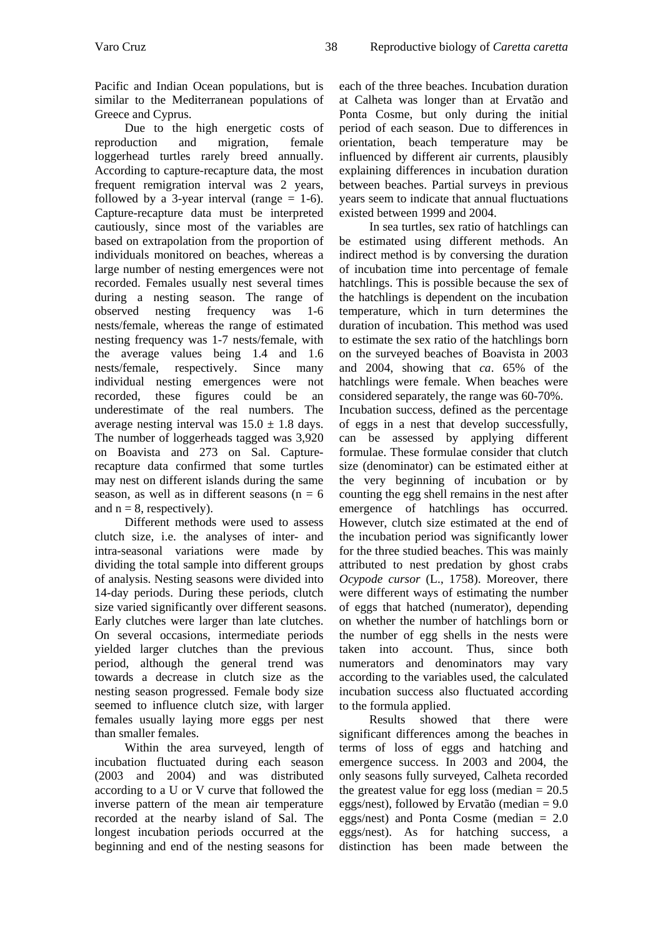Pacific and Indian Ocean populations, but is similar to the Mediterranean populations of Greece and Cyprus.

Due to the high energetic costs of duction and migration, female reproduction and migration, loggerhead turtles rarely breed annually. According to capture-recapture data, the most frequent remigration interval was 2 years, followed by a 3-year interval (range  $= 1-6$ ). Capture-recapture data must be interpreted cautiously, since most of the variables are based on extrapolation from the proportion of individuals monitored on beaches, whereas a large number of nesting emergences were not recorded. Females usually nest several times during a nesting season. The range of observed nesting frequency was 1-6 nests/female, whereas the range of estimated nesting frequency was 1-7 nests/female, with the average values being 1.4 and 1.6 nests/female, respectively. Since many individual nesting emergences were not recorded, these figures could be an underestimate of the real numbers. The average nesting interval was  $15.0 \pm 1.8$  days. The number of loggerheads tagged was 3,920 on Boavista and 273 on Sal. Capturerecapture data confirmed that some turtles may nest on different islands during the same season, as well as in different seasons  $(n = 6)$ and  $n = 8$ , respectively).

Different methods were used to assess clutch size, i.e. the analyses of inter- and intra-seasonal variations were made by dividing the total sample into different groups of analysis. Nesting seasons were divided into 14-day periods. During these periods, clutch size varied significantly over different seasons. Early clutches were larger than late clutches. On several occasions, intermediate periods yielded larger clutches than the previous period, although the general trend was towards a decrease in clutch size as the nesting season progressed. Female body size seemed to influence clutch size, with larger females usually laying more eggs per nest than smaller females.

Within the area surveyed, length of incubation fluctuated during each season (2003 and 2004) and was distributed according to a U or V curve that followed the inverse pattern of the mean air temperature recorded at the nearby island of Sal. The longest incubation periods occurred at the beginning and end of the nesting seasons for

each of the three beaches. Incubation duration at Calheta was longer than at Ervatão and Ponta Cosme, but only during the initial period of each season. Due to differences in orientation, beach temperature may be influenced by different air currents, plausibly explaining differences in incubation duration between beaches. Partial surveys in previous years seem to indicate that annual fluctuations existed between 1999 and 2004.

In sea turtles, sex ratio of hatchlings can be estimated using different methods. An indirect method is by conversing the duration of incubation time into percentage of female hatchlings. This is possible because the sex of the hatchlings is dependent on the incubation temperature, which in turn determines the duration of incubation. This method was used to estimate the sex ratio of the hatchlings born on the surveyed beaches of Boavista in 2003 and 2004, showing that *ca*. 65% of the hatchlings were female. When beaches were considered separately, the range was 60-70%.

Incubation success, defined as the percentage of eggs in a nest that develop successfully, can be assessed by applying different formulae. These formulae consider that clutch size (denominator) can be estimated either at the very beginning of incubation or by counting the egg shell remains in the nest after emergence of hatchlings has occurred. However, clutch size estimated at the end of the incubation period was significantly lower for the three studied beaches. This was mainly attributed to nest predation by ghost crabs *Ocypode cursor* (L., 1758). Moreover, there were different ways of estimating the number of eggs that hatched (numerator), depending on whether the number of hatchlings born or the number of egg shells in the nests were taken into account. Thus, since both numerators and denominators may vary according to the variables used, the calculated incubation success also fluctuated according to the formula applied.

Results showed that there were significant differences among the beaches in terms of loss of eggs and hatching and emergence success. In 2003 and 2004, the only seasons fully surveyed, Calheta recorded the greatest value for egg loss (median  $= 20.5$ eggs/nest), followed by Ervatão (median = 9.0 eggs/nest) and Ponta Cosme (median = 2.0 eggs/nest). As for hatching success, a distinction has been made between the